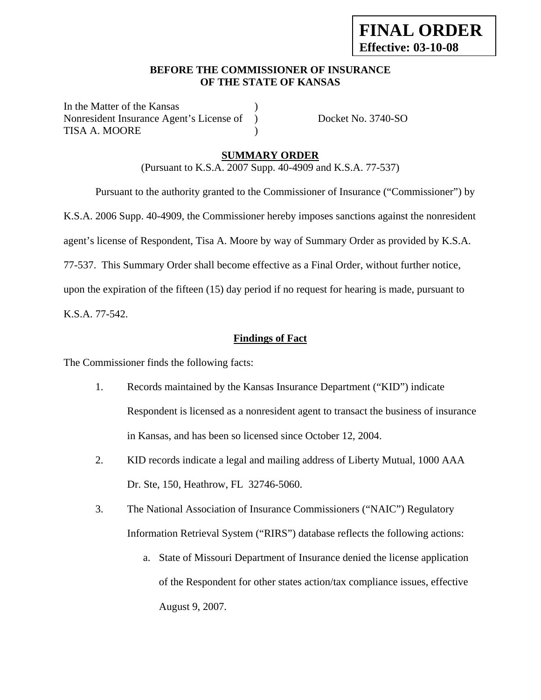### **BEFORE THE COMMISSIONER OF INSURANCE OF THE STATE OF KANSAS**

In the Matter of the Kansas Nonresident Insurance Agent's License of ) Docket No. 3740-SO TISA A. MOORE (1998)

### **SUMMARY ORDER**

(Pursuant to K.S.A. 2007 Supp. 40-4909 and K.S.A. 77-537)

 Pursuant to the authority granted to the Commissioner of Insurance ("Commissioner") by K.S.A. 2006 Supp. 40-4909, the Commissioner hereby imposes sanctions against the nonresident agent's license of Respondent, Tisa A. Moore by way of Summary Order as provided by K.S.A. 77-537. This Summary Order shall become effective as a Final Order, without further notice, upon the expiration of the fifteen (15) day period if no request for hearing is made, pursuant to

K.S.A. 77-542.

## **Findings of Fact**

The Commissioner finds the following facts:

- 1. Records maintained by the Kansas Insurance Department ("KID") indicate Respondent is licensed as a nonresident agent to transact the business of insurance in Kansas, and has been so licensed since October 12, 2004.
- 2. KID records indicate a legal and mailing address of Liberty Mutual, 1000 AAA Dr. Ste, 150, Heathrow, FL 32746-5060.
- 3. The National Association of Insurance Commissioners ("NAIC") Regulatory Information Retrieval System ("RIRS") database reflects the following actions:
	- a. State of Missouri Department of Insurance denied the license application of the Respondent for other states action/tax compliance issues, effective August 9, 2007.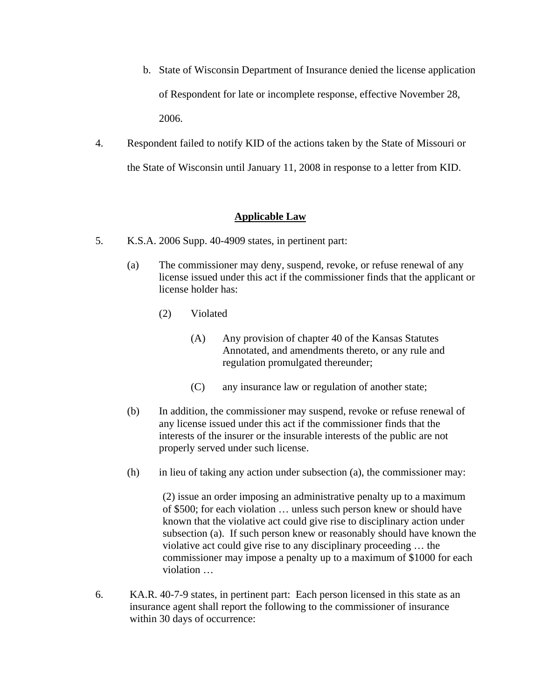- b. State of Wisconsin Department of Insurance denied the license application of Respondent for late or incomplete response, effective November 28, 2006.
- 4. Respondent failed to notify KID of the actions taken by the State of Missouri or the State of Wisconsin until January 11, 2008 in response to a letter from KID.

## **Applicable Law**

- 5. K.S.A. 2006 Supp. 40-4909 states, in pertinent part:
	- (a) The commissioner may deny, suspend, revoke, or refuse renewal of any license issued under this act if the commissioner finds that the applicant or license holder has:
		- (2) Violated
			- (A) Any provision of chapter 40 of the Kansas Statutes Annotated, and amendments thereto, or any rule and regulation promulgated thereunder;
			- (C) any insurance law or regulation of another state;
	- (b) In addition, the commissioner may suspend, revoke or refuse renewal of any license issued under this act if the commissioner finds that the interests of the insurer or the insurable interests of the public are not properly served under such license.
	- (h) in lieu of taking any action under subsection (a), the commissioner may:

 (2) issue an order imposing an administrative penalty up to a maximum of \$500; for each violation … unless such person knew or should have known that the violative act could give rise to disciplinary action under subsection (a). If such person knew or reasonably should have known the violative act could give rise to any disciplinary proceeding … the commissioner may impose a penalty up to a maximum of \$1000 for each violation …

6. KA.R. 40-7-9 states, in pertinent part: Each person licensed in this state as an insurance agent shall report the following to the commissioner of insurance within 30 days of occurrence: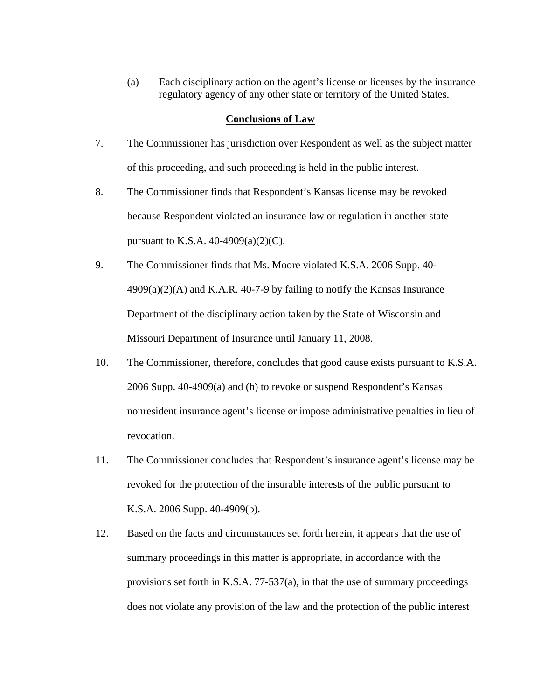(a) Each disciplinary action on the agent's license or licenses by the insurance regulatory agency of any other state or territory of the United States.

#### **Conclusions of Law**

- 7. The Commissioner has jurisdiction over Respondent as well as the subject matter of this proceeding, and such proceeding is held in the public interest.
- 8. The Commissioner finds that Respondent's Kansas license may be revoked because Respondent violated an insurance law or regulation in another state pursuant to K.S.A.  $40-4909(a)(2)(C)$ .
- 9. The Commissioner finds that Ms. Moore violated K.S.A. 2006 Supp. 40-  $4909(a)(2)$ (A) and K.A.R. 40-7-9 by failing to notify the Kansas Insurance Department of the disciplinary action taken by the State of Wisconsin and Missouri Department of Insurance until January 11, 2008.
- 10. The Commissioner, therefore, concludes that good cause exists pursuant to K.S.A. 2006 Supp. 40-4909(a) and (h) to revoke or suspend Respondent's Kansas nonresident insurance agent's license or impose administrative penalties in lieu of revocation.
- 11. The Commissioner concludes that Respondent's insurance agent's license may be revoked for the protection of the insurable interests of the public pursuant to K.S.A. 2006 Supp. 40-4909(b).
- 12. Based on the facts and circumstances set forth herein, it appears that the use of summary proceedings in this matter is appropriate, in accordance with the provisions set forth in K.S.A. 77-537(a), in that the use of summary proceedings does not violate any provision of the law and the protection of the public interest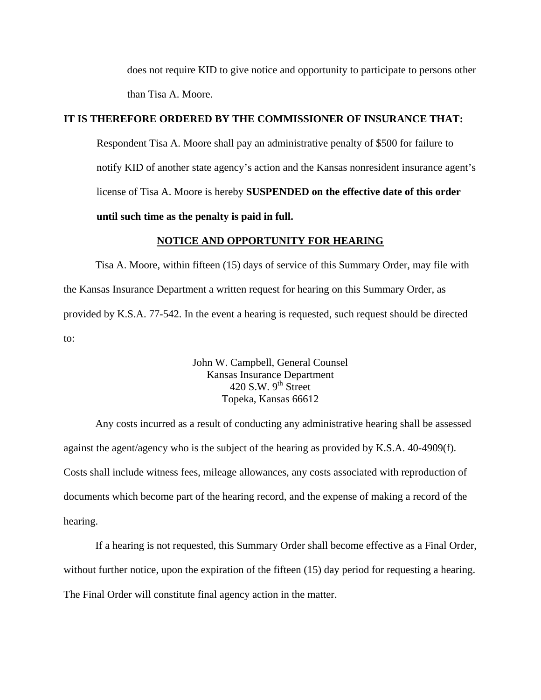does not require KID to give notice and opportunity to participate to persons other than Tisa A. Moore.

### **IT IS THEREFORE ORDERED BY THE COMMISSIONER OF INSURANCE THAT:**

Respondent Tisa A. Moore shall pay an administrative penalty of \$500 for failure to notify KID of another state agency's action and the Kansas nonresident insurance agent's license of Tisa A. Moore is hereby **SUSPENDED on the effective date of this order until such time as the penalty is paid in full.**

### **NOTICE AND OPPORTUNITY FOR HEARING**

Tisa A. Moore, within fifteen (15) days of service of this Summary Order, may file with the Kansas Insurance Department a written request for hearing on this Summary Order, as provided by K.S.A. 77-542. In the event a hearing is requested, such request should be directed to:

> John W. Campbell, General Counsel Kansas Insurance Department 420 S.W.  $9<sup>th</sup>$  Street Topeka, Kansas 66612

Any costs incurred as a result of conducting any administrative hearing shall be assessed against the agent/agency who is the subject of the hearing as provided by K.S.A. 40-4909(f). Costs shall include witness fees, mileage allowances, any costs associated with reproduction of documents which become part of the hearing record, and the expense of making a record of the hearing.

If a hearing is not requested, this Summary Order shall become effective as a Final Order, without further notice, upon the expiration of the fifteen (15) day period for requesting a hearing. The Final Order will constitute final agency action in the matter.